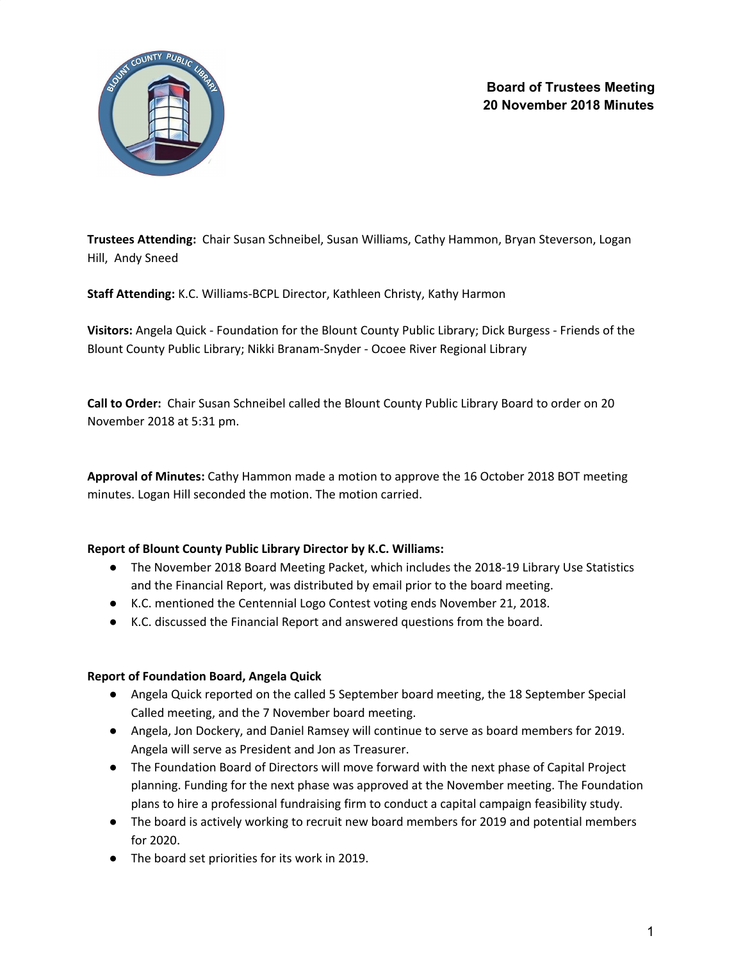

**Trustees Attending:** Chair Susan Schneibel, Susan Williams, Cathy Hammon, Bryan Steverson, Logan Hill, Andy Sneed

**Staff Attending:** K.C. Williams-BCPL Director, Kathleen Christy, Kathy Harmon

**Visitors:** Angela Quick - Foundation for the Blount County Public Library; Dick Burgess - Friends of the Blount County Public Library; Nikki Branam-Snyder - Ocoee River Regional Library

**Call to Order:** Chair Susan Schneibel called the Blount County Public Library Board to order on 20 November 2018 at 5:31 pm.

**Approval of Minutes:** Cathy Hammon made a motion to approve the 16 October 2018 BOT meeting minutes. Logan Hill seconded the motion. The motion carried.

## **Report of Blount County Public Library Director by K.C. Williams:**

- The November 2018 Board Meeting Packet, which includes the 2018-19 Library Use Statistics and the Financial Report, was distributed by email prior to the board meeting.
- K.C. mentioned the Centennial Logo Contest voting ends November 21, 2018.
- K.C. discussed the Financial Report and answered questions from the board.

# **Report of Foundation Board, Angela Quick**

- Angela Quick reported on the called 5 September board meeting, the 18 September Special Called meeting, and the 7 November board meeting.
- Angela, Jon Dockery, and Daniel Ramsey will continue to serve as board members for 2019. Angela will serve as President and Jon as Treasurer.
- The Foundation Board of Directors will move forward with the next phase of Capital Project planning. Funding for the next phase was approved at the November meeting. The Foundation plans to hire a professional fundraising firm to conduct a capital campaign feasibility study.
- The board is actively working to recruit new board members for 2019 and potential members for 2020.
- The board set priorities for its work in 2019.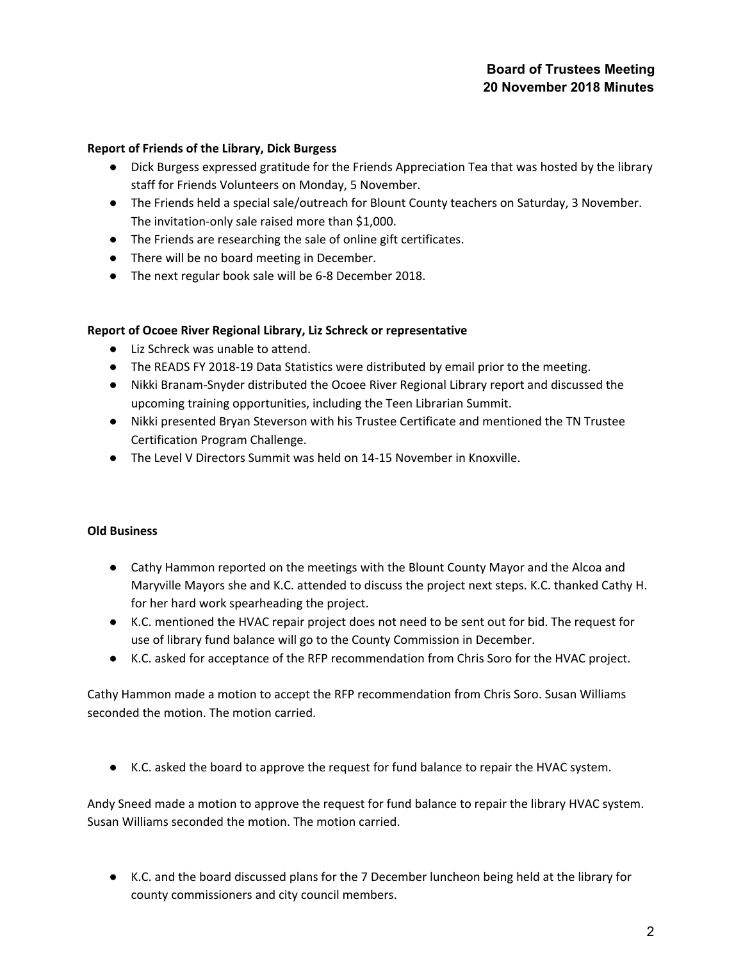# **Board of Trustees Meeting 20 November 2018 Minutes**

### **Report of Friends of the Library, Dick Burgess**

- Dick Burgess expressed gratitude for the Friends Appreciation Tea that was hosted by the library staff for Friends Volunteers on Monday, 5 November.
- The Friends held a special sale/outreach for Blount County teachers on Saturday, 3 November. The invitation-only sale raised more than \$1,000.
- The Friends are researching the sale of online gift certificates.
- There will be no board meeting in December.
- The next regular book sale will be 6-8 December 2018.

#### **Report of Ocoee River Regional Library, Liz Schreck or representative**

- Liz Schreck was unable to attend.
- The READS FY 2018-19 Data Statistics were distributed by email prior to the meeting.
- Nikki Branam-Snyder distributed the Ocoee River Regional Library report and discussed the upcoming training opportunities, including the Teen Librarian Summit.
- Nikki presented Bryan Steverson with his Trustee Certificate and mentioned the TN Trustee Certification Program Challenge.
- The Level V Directors Summit was held on 14-15 November in Knoxville.

#### **Old Business**

- Cathy Hammon reported on the meetings with the Blount County Mayor and the Alcoa and Maryville Mayors she and K.C. attended to discuss the project next steps. K.C. thanked Cathy H. for her hard work spearheading the project.
- K.C. mentioned the HVAC repair project does not need to be sent out for bid. The request for use of library fund balance will go to the County Commission in December.
- K.C. asked for acceptance of the RFP recommendation from Chris Soro for the HVAC project.

Cathy Hammon made a motion to accept the RFP recommendation from Chris Soro. Susan Williams seconded the motion. The motion carried.

● K.C. asked the board to approve the request for fund balance to repair the HVAC system.

Andy Sneed made a motion to approve the request for fund balance to repair the library HVAC system. Susan Williams seconded the motion. The motion carried.

● K.C. and the board discussed plans for the 7 December luncheon being held at the library for county commissioners and city council members.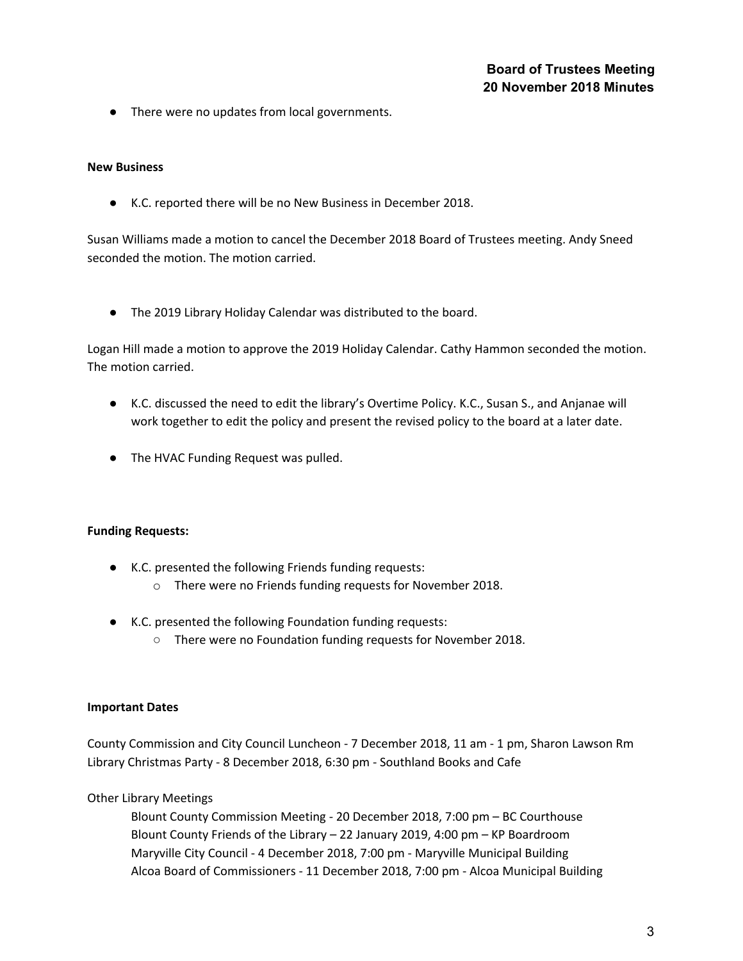● There were no updates from local governments.

#### **New Business**

● K.C. reported there will be no New Business in December 2018.

Susan Williams made a motion to cancel the December 2018 Board of Trustees meeting. Andy Sneed seconded the motion. The motion carried.

● The 2019 Library Holiday Calendar was distributed to the board.

Logan Hill made a motion to approve the 2019 Holiday Calendar. Cathy Hammon seconded the motion. The motion carried.

- K.C. discussed the need to edit the library's Overtime Policy. K.C., Susan S., and Anjanae will work together to edit the policy and present the revised policy to the board at a later date.
- The HVAC Funding Request was pulled.

#### **Funding Requests:**

- K.C. presented the following Friends funding requests:
	- o There were no Friends funding requests for November 2018.
- K.C. presented the following Foundation funding requests:
	- There were no Foundation funding requests for November 2018.

#### **Important Dates**

County Commission and City Council Luncheon - 7 December 2018, 11 am - 1 pm, Sharon Lawson Rm Library Christmas Party - 8 December 2018, 6:30 pm - Southland Books and Cafe

Other Library Meetings

Blount County Commission Meeting - 20 December 2018, 7:00 pm – BC Courthouse Blount County Friends of the Library – 22 January 2019, 4:00 pm – KP Boardroom Maryville City Council - 4 December 2018, 7:00 pm - Maryville Municipal Building Alcoa Board of Commissioners - 11 December 2018, 7:00 pm - Alcoa Municipal Building